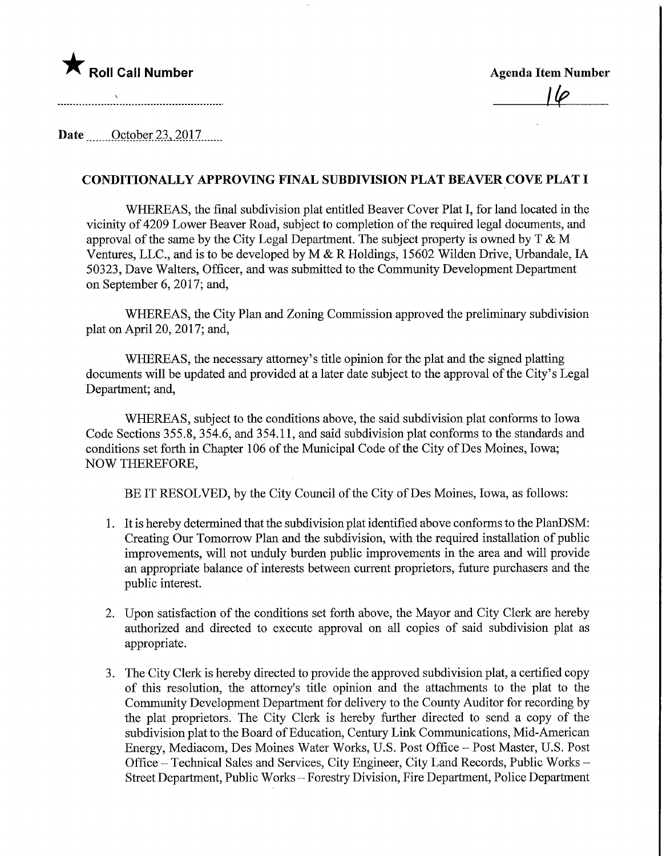

**Agenda Item Number** 

Date October 23, 2017

## CONDITIONALLY APPROVING FINAL SUBDIVISION PLAT BEAVER COVE PLAT I

WHEREAS, the final subdivision plat entitled Beaver Cover Plat I, for land located in the vicinity of 4209 Lower Beaver Road, subject to completion of the required legal documents, and approval of the same by the City Legal Department. The subject property is owned by  $T \& M$ Ventures, LLC., and is to be developed by M & R Holdings, 15602 Wilden Drive, Urbandale, IA 50323, Dave Walters, Officer, and was submitted to the Community Development Department on September 6, 2017; and,

WHEREAS, the City Plan and Zoning Commission approved the preliminary subdivision plat on April 20, 2017; and,

WHEREAS, the necessary attorney's title opinion for the plat and the signed platting documents will be updated and provided at a later date subject to the approval of the City's Legal Department; and,

WHEREAS, subject to the conditions above, the said subdivision plat conforms to Iowa Code Sections 355.8, 354.6, and 354.11, and said subdivision plat conforms to the standards and conditions set forth in Chapter 106 of the Municipal Code of the City of Des Moines, Iowa; NOW THEREFORE,

BE IT RESOLVED, by the City Council of the City of Des Moines, Iowa, as follows:

- 1. It is hereby determined that the subdivision plat identified above conforms to the PlanDSM: Creating Our Tomorrow Plan and the subdivision, with the required installation of public improvements, will not unduly burden public improvements in the area and will provide an appropriate balance of interests between current proprietors, future purchasers and the public interest.
- 2. Upon satisfaction of the conditions set forth above, the Mayor and City Clerk are hereby authorized and directed to execute approval on all copies of said subdivision plat as appropriate.
- 3. The City Clerk is hereby directed to provide the approved subdivision plat, a certified copy of this resolution, the attorney's title opinion and the attachments to the plat to the Community Development Department for delivery to the County Auditor for recording by the plat proprietors. The City Clerk is hereby farther directed to send a copy of the subdivision plat to the Board of Education, Century Link Communications, Mid-American Energy, Mediacom, Des Moines Water Works, U.S. Post Office - Post Master, U.S. Post Office – Technical Sales and Services, City Engineer, City Land Records, Public Works – Street Department, Public Works - Forestry Division, Fire Department, Police Department